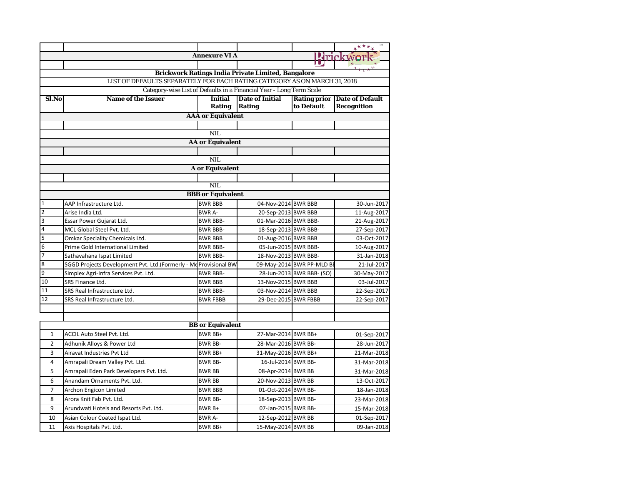|                         |                                                                           |                          |                                                                      |                           | $*^{****}$                          |  |
|-------------------------|---------------------------------------------------------------------------|--------------------------|----------------------------------------------------------------------|---------------------------|-------------------------------------|--|
|                         |                                                                           | <b>Annexure VI A</b>     |                                                                      |                           | <b>Krickwork</b>                    |  |
|                         |                                                                           |                          |                                                                      |                           |                                     |  |
|                         |                                                                           |                          | <b>Brickwork Ratings India Private Limited, Bangalore</b>            |                           |                                     |  |
|                         | LIST OF DEFAULTS SEPARATELY FOR EACH RATING CATEGORY AS ON MARCH 31, 2018 |                          |                                                                      |                           |                                     |  |
|                         |                                                                           |                          | Category-wise List of Defaults in a Financial Year - Long Term Scale |                           |                                     |  |
| Sl.No                   | <b>Name of the Issuer</b>                                                 | <b>Initial</b>           | <b>Date of Initial</b>                                               |                           | <b>Rating prior Date of Default</b> |  |
|                         |                                                                           | <b>Rating</b>            | <b>Rating</b>                                                        | to Default                | <b>Recognition</b>                  |  |
|                         |                                                                           | <b>AAA</b> or Equivalent |                                                                      |                           |                                     |  |
|                         |                                                                           | <b>NIL</b>               |                                                                      |                           |                                     |  |
|                         |                                                                           |                          |                                                                      |                           |                                     |  |
|                         |                                                                           | <b>AA</b> or Equivalent  |                                                                      |                           |                                     |  |
|                         |                                                                           | $\overline{\text{NIL}}$  |                                                                      |                           |                                     |  |
|                         |                                                                           | <b>A</b> or Equivalent   |                                                                      |                           |                                     |  |
|                         |                                                                           |                          |                                                                      |                           |                                     |  |
|                         |                                                                           | <b>NIL</b>               |                                                                      |                           |                                     |  |
|                         |                                                                           | <b>BBB</b> or Equivalent |                                                                      |                           |                                     |  |
| $\overline{1}$          | AAP Infrastructure Ltd.                                                   | <b>BWR BBB</b>           | 04-Nov-2014 BWR BBB                                                  |                           | 30-Jun-2017                         |  |
| $\overline{2}$          | Arise India Ltd.                                                          | <b>BWR A-</b>            | 20-Sep-2013 BWR BBB                                                  |                           | 11-Aug-2017                         |  |
| $\overline{3}$          | Essar Power Gujarat Ltd.                                                  | <b>BWR BBB-</b>          | 01-Mar-2016 BWR BBB-                                                 |                           | 21-Aug-2017                         |  |
| $\overline{4}$          | MCL Global Steel Pvt. Ltd.                                                | <b>BWR BBB-</b>          | 18-Sep-2013 BWR BBB-                                                 |                           | 27-Sep-2017                         |  |
| 5                       | Omkar Speciality Chemicals Ltd.                                           | <b>BWR BBB</b>           | 01-Aug-2016 BWR BBB                                                  |                           | 03-Oct-2017                         |  |
| $\overline{6}$          | Prime Gold International Limited                                          | <b>BWR BBB-</b>          | 05-Jun-2015 BWR BBB-                                                 |                           | 10-Aug-2017                         |  |
| 7                       | Sathavahana Ispat Limited                                                 | <b>BWR BBB-</b>          | 18-Nov-2013 BWR BBB-                                                 |                           | 31-Jan-2018                         |  |
| 8                       | SGGD Projects Development Pvt. Ltd.(Formerly - Me Provisional BW          |                          |                                                                      | 09-May-2014 BWR PP-MLD BE | 21-Jul-2017                         |  |
| $\overline{9}$          | Simplex Agri-Infra Services Pvt. Ltd.                                     | <b>BWR BBB-</b>          |                                                                      | 28-Jun-2013 BWR BBB- (SO) | 30-May-2017                         |  |
| 10                      | <b>SRS Finance Ltd.</b>                                                   | <b>BWR BBB</b>           | 13-Nov-2015 BWR BBB                                                  |                           | 03-Jul-2017                         |  |
| 11                      | SRS Real Infrastructure Ltd.                                              | <b>BWR BBB-</b>          | 03-Nov-2014 BWR BBB                                                  |                           | 22-Sep-2017                         |  |
| 12                      | SRS Real Infrastructure Ltd.                                              | <b>BWR FBBB</b>          | 29-Dec-2015 BWR FBBB                                                 |                           | 22-Sep-2017                         |  |
|                         |                                                                           |                          |                                                                      |                           |                                     |  |
|                         |                                                                           |                          |                                                                      |                           |                                     |  |
| <b>BB</b> or Equivalent |                                                                           |                          |                                                                      |                           |                                     |  |
| $\mathbf{1}$            | ACCIL Auto Steel Pvt. Ltd.                                                | <b>BWR BB+</b>           | 27-Mar-2014 BWR BB+                                                  |                           | 01-Sep-2017                         |  |
| $\overline{2}$          | Adhunik Alloys & Power Ltd                                                | <b>BWR BB-</b>           | 28-Mar-2016 BWR BB-                                                  |                           | 28-Jun-2017                         |  |
| 3                       | Airavat Industries Pvt Ltd                                                | BWR BB+                  | 31-May-2016 BWR BB+                                                  |                           | 21-Mar-2018                         |  |
| $\overline{4}$          | Amrapali Dream Valley Pvt. Ltd.                                           | <b>BWR BB-</b>           | 16-Jul-2014 BWR BB-                                                  |                           | 31-Mar-2018                         |  |
| 5                       | Amrapali Eden Park Developers Pvt. Ltd.                                   | <b>BWR BB</b>            | 08-Apr-2014 BWR BB                                                   |                           | 31-Mar-2018                         |  |
| 6                       | Anandam Ornaments Pvt. Ltd.                                               | <b>BWR BB</b>            | 20-Nov-2013 BWR BB                                                   |                           | 13-Oct-2017                         |  |
| $\overline{7}$          | Archon Engicon Limited                                                    | <b>BWR BBB</b>           | 01-Oct-2014 BWR BB-                                                  |                           | 18-Jan-2018                         |  |
| 8                       | Arora Knit Fab Pvt. Ltd.                                                  | <b>BWR BB-</b>           | 18-Sep-2013 BWR BB-                                                  |                           | 23-Mar-2018                         |  |
| 9                       | Arundwati Hotels and Resorts Pvt. Ltd.                                    | BWR B+                   | 07-Jan-2015 BWR BB-                                                  |                           | 15-Mar-2018                         |  |
| 10                      | Asian Colour Coated Ispat Ltd.                                            | BWR A-                   | 12-Sep-2012 BWR BB                                                   |                           | 01-Sep-2017                         |  |
| 11                      | Axis Hospitals Pvt. Ltd.                                                  | <b>BWR BB+</b>           | 15-May-2014 BWR BB                                                   |                           | 09-Jan-2018                         |  |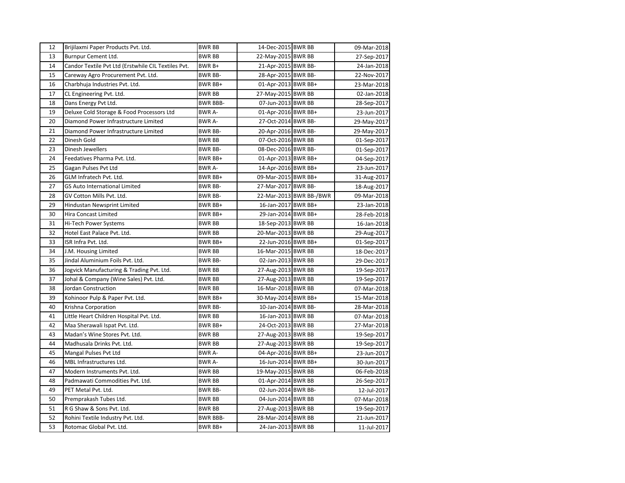| 12 | Brijilaxmi Paper Products Pvt. Ltd.                 | <b>BWR BB</b>   | 14-Dec-2015 BWR BB  |                         | 09-Mar-2018 |
|----|-----------------------------------------------------|-----------------|---------------------|-------------------------|-------------|
| 13 | Burnpur Cement Ltd.                                 | <b>BWR BB</b>   | 22-May-2015 BWR BB  |                         | 27-Sep-2017 |
| 14 | Candor Textile Pvt Ltd (Erstwhile CIL Textiles Pvt. | BWR B+          | 21-Apr-2015 BWR BB- |                         | 24-Jan-2018 |
| 15 | Careway Agro Procurement Pvt. Ltd.                  | <b>BWR BB-</b>  | 28-Apr-2015 BWR BB- |                         | 22-Nov-2017 |
| 16 | Charbhuja Industries Pvt. Ltd.                      | BWR BB+         | 01-Apr-2013 BWR BB+ |                         | 23-Mar-2018 |
| 17 | CL Engineering Pvt. Ltd.                            | <b>BWR BB</b>   | 27-May-2015 BWR BB  |                         | 02-Jan-2018 |
| 18 | Dans Energy Pvt Ltd.                                | <b>BWR BBB-</b> | 07-Jun-2013 BWR BB  |                         | 28-Sep-2017 |
| 19 | Deluxe Cold Storage & Food Processors Ltd           | <b>BWR A-</b>   | 01-Apr-2016 BWR BB+ |                         | 23-Jun-2017 |
| 20 | Diamond Power Infrastructure Limited                | BWR A-          | 27-Oct-2014 BWR BB- |                         | 29-May-2017 |
| 21 | Diamond Power Infrastructure Limited                | <b>BWR BB-</b>  | 20-Apr-2016 BWR BB- |                         | 29-May-2017 |
| 22 | Dinesh Gold                                         | <b>BWR BB</b>   | 07-Oct-2016 BWR BB  |                         | 01-Sep-2017 |
| 23 | Dinesh Jewellers                                    | <b>BWR BB-</b>  | 08-Dec-2016 BWR BB- |                         | 01-Sep-2017 |
| 24 | Feedatives Pharma Pvt. Ltd.                         | BWR BB+         | 01-Apr-2013 BWR BB+ |                         | 04-Sep-2017 |
| 25 | Gagan Pulses Pvt Ltd                                | BWR A-          | 14-Apr-2016 BWR BB+ |                         | 23-Jun-2017 |
| 26 | GLM Infratech Pvt. Ltd.                             | BWR BB+         | 09-Mar-2015 BWR BB+ |                         | 31-Aug-2017 |
| 27 | GS Auto International Limited                       | <b>BWR BB-</b>  | 27-Mar-2017 BWR BB- |                         | 18-Aug-2017 |
| 28 | GV Cotton Mills Pvt. Ltd.                           | <b>BWR BB-</b>  |                     | 22-Mar-2013 BWR BB-/BWR | 09-Mar-2018 |
| 29 | Hindustan Newsprint Limited                         | BWR BB+         | 16-Jan-2017 BWR BB+ |                         | 23-Jan-2018 |
| 30 | Hira Concast Limited                                | BWR BB+         | 29-Jan-2014 BWR BB+ |                         | 28-Feb-2018 |
| 31 | <b>Hi-Tech Power Systems</b>                        | <b>BWR BB</b>   | 18-Sep-2013 BWR BB  |                         | 16-Jan-2018 |
| 32 | Hotel East Palace Pvt. Ltd.                         | <b>BWR BB</b>   | 20-Mar-2013 BWR BB  |                         | 29-Aug-2017 |
| 33 | ISR Infra Pvt. Ltd.                                 | BWR BB+         | 22-Jun-2016 BWR BB+ |                         | 01-Sep-2017 |
| 34 | J.M. Housing Limited                                | <b>BWR BB</b>   | 16-Mar-2015 BWR BB  |                         | 18-Dec-2017 |
| 35 | Jindal Aluminium Foils Pvt. Ltd.                    | <b>BWR BB-</b>  | 02-Jan-2013 BWR BB  |                         | 29-Dec-2017 |
| 36 | Jogvick Manufacturing & Trading Pvt. Ltd.           | <b>BWR BB</b>   | 27-Aug-2013 BWR BB  |                         | 19-Sep-2017 |
| 37 | Johal & Company (Wine Sales) Pvt. Ltd.              | <b>BWR BB</b>   | 27-Aug-2013 BWR BB  |                         | 19-Sep-2017 |
| 38 | Jordan Construction                                 | <b>BWR BB</b>   | 16-Mar-2018 BWR BB  |                         | 07-Mar-2018 |
| 39 | Kohinoor Pulp & Paper Pvt. Ltd.                     | BWR BB+         | 30-May-2014 BWR BB+ |                         | 15-Mar-2018 |
| 40 | Krishna Corporation                                 | <b>BWR BB-</b>  | 10-Jan-2014 BWR BB- |                         | 28-Mar-2018 |
| 41 | Little Heart Children Hospital Pvt. Ltd.            | <b>BWR BB</b>   | 16-Jan-2013 BWR BB  |                         | 07-Mar-2018 |
| 42 | Maa Sherawali Ispat Pvt. Ltd.                       | BWR BB+         | 24-Oct-2013 BWR BB  |                         | 27-Mar-2018 |
| 43 | Madan's Wine Stores Pvt. Ltd.                       | BWR BB          | 27-Aug-2013 BWR BB  |                         | 19-Sep-2017 |
| 44 | Madhusala Drinks Pvt. Ltd.                          | BWR BB          | 27-Aug-2013 BWR BB  |                         | 19-Sep-2017 |
| 45 | Mangal Pulses Pvt Ltd                               | BWR A-          | 04-Apr-2016 BWR BB+ |                         | 23-Jun-2017 |
| 46 | MBL Infrastructures Ltd.                            | BWR A-          | 16-Jun-2014 BWR BB+ |                         | 30-Jun-2017 |
| 47 | Modern Instruments Pvt. Ltd.                        | <b>BWR BB</b>   | 19-May-2015 BWR BB  |                         | 06-Feb-2018 |
| 48 | Padmawati Commodities Pvt. Ltd.                     | BWR BB          | 01-Apr-2014 BWR BB  |                         | 26-Sep-2017 |
| 49 | PET Metal Pvt. Ltd.                                 | <b>BWR BB-</b>  | 02-Jun-2014 BWR BB- |                         | 12-Jul-2017 |
| 50 | Premprakash Tubes Ltd.                              | <b>BWR BB</b>   | 04-Jun-2014 BWR BB  |                         | 07-Mar-2018 |
| 51 | R G Shaw & Sons Pvt. Ltd.                           | <b>BWR BB</b>   | 27-Aug-2013 BWR BB  |                         | 19-Sep-2017 |
| 52 | Rohini Textile Industry Pvt. Ltd.                   | <b>BWR BBB-</b> | 28-Mar-2014 BWR BB  |                         | 21-Jun-2017 |
| 53 | Rotomac Global Pvt. Ltd.                            | BWR BB+         | 24-Jan-2013 BWR BB  |                         | 11-Jul-2017 |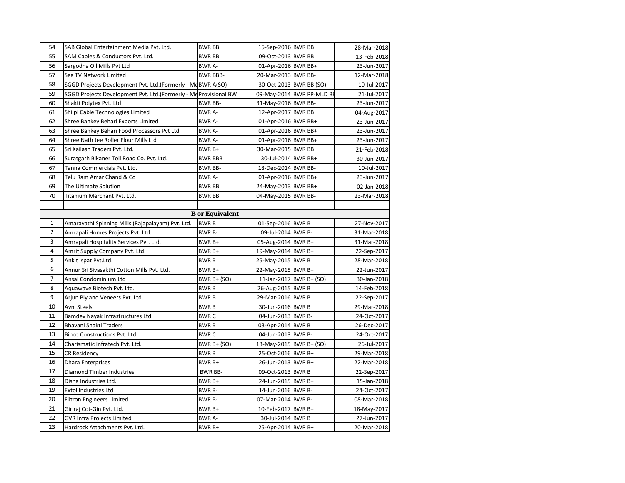| 54             | SAB Global Entertainment Media Pvt. Ltd.                         | <b>BWR BB</b>          | 15-Sep-2016 BWR BB      |                           | 28-Mar-2018 |
|----------------|------------------------------------------------------------------|------------------------|-------------------------|---------------------------|-------------|
| 55             | SAM Cables & Conductors Pyt. Ltd.                                | <b>BWR BB</b>          | 09-Oct-2013 BWR BB      |                           | 13-Feb-2018 |
| 56             | Sargodha Oil Mills Pvt Ltd                                       | <b>BWR A-</b>          | 01-Apr-2016 BWR BB+     |                           | 23-Jun-2017 |
| 57             | Sea TV Network Limited                                           | <b>BWR BBB-</b>        | 20-Mar-2013 BWR BB-     |                           | 12-Mar-2018 |
| 58             | SGGD Projects Development Pvt. Ltd.(Formerly - McBWR A(SO)       |                        |                         | 30-Oct-2013 BWR BB (SO)   | 10-Jul-2017 |
| 59             | SGGD Projects Development Pvt. Ltd.(Formerly - Me Provisional BW |                        |                         | 09-May-2014 BWR PP-MLD BI | 21-Jul-2017 |
| 60             | Shakti Polytex Pvt. Ltd                                          | <b>BWR BB-</b>         | 31-May-2016 BWR BB-     |                           | 23-Jun-2017 |
| 61             | Shilpi Cable Technologies Limited                                | <b>BWRA-</b>           | 12-Apr-2017 BWR BB      |                           | 04-Aug-2017 |
| 62             | Shree Bankey Behari Exports Limited                              | BWR A-                 | 01-Apr-2016 BWR BB+     |                           | 23-Jun-2017 |
| 63             | Shree Bankey Behari Food Processors Pvt Ltd                      | BWR A-                 | 01-Apr-2016 BWR BB+     |                           | 23-Jun-2017 |
| 64             | Shree Nath Jee Roller Flour Mills Ltd                            | <b>BWR A-</b>          | 01-Apr-2016 BWR BB+     |                           | 23-Jun-2017 |
| 65             | Sri Kailash Traders Pvt. Ltd.                                    | BWR B+                 | 30-Mar-2015 BWR BB      |                           | 21-Feb-2018 |
| 66             | Suratgarh Bikaner Toll Road Co. Pvt. Ltd.                        | <b>BWR BBB</b>         | 30-Jul-2014 BWR BB+     |                           | 30-Jun-2017 |
| 67             | Tanna Commercials Pvt. Ltd.                                      | <b>BWR BB-</b>         | 18-Dec-2014 BWR BB-     |                           | 10-Jul-2017 |
| 68             | Telu Ram Amar Chand & Co                                         | <b>BWR A-</b>          | 01-Apr-2016 BWR BB+     |                           | 23-Jun-2017 |
| 69             | The Ultimate Solution                                            | <b>BWR BB</b>          | 24-May-2013 BWR BB+     |                           | 02-Jan-2018 |
| 70             | Titanium Merchant Pvt. Ltd.                                      | BWR BB                 | 04-May-2015 BWR BB-     |                           | 23-Mar-2018 |
|                |                                                                  |                        |                         |                           |             |
|                |                                                                  | <b>B</b> or Equivalent |                         |                           |             |
| $\mathbf{1}$   | Amaravathi Spinning Mills (Rajapalayam) Pvt. Ltd.                | <b>BWRB</b>            | 01-Sep-2016 BWR B       |                           | 27-Nov-2017 |
| $\overline{2}$ | Amrapali Homes Projects Pvt. Ltd.                                | BWR B-                 | 09-Jul-2014 BWR B-      |                           | 31-Mar-2018 |
| 3              | Amrapali Hospitality Services Pvt. Ltd.                          | BWR B+                 | 05-Aug-2014 BWR B+      |                           | 31-Mar-2018 |
| 4              | Amrit Supply Company Pvt. Ltd.                                   | BWR B+                 | 19-May-2014 BWR B+      |                           | 22-Sep-2017 |
| 5              | Ankit Ispat Pvt.Ltd.                                             | <b>BWRB</b>            | 25-May-2015 BWR B       |                           | 28-Mar-2018 |
| 6              | Annur Sri Sivasakthi Cotton Mills Pvt. Ltd.                      | BWR B+                 | 22-May-2015 BWR B+      |                           | 22-Jun-2017 |
| $\overline{7}$ | Ansal Condominium Ltd                                            | <b>BWR B+ (SO)</b>     |                         | 11-Jan-2017 BWR B+ (SO)   | 30-Jan-2018 |
| 8              | Aguawave Biotech Pvt. Ltd.                                       | <b>BWRB</b>            | 26-Aug-2015 BWR B       |                           | 14-Feb-2018 |
| 9              | Arjun Ply and Veneers Pvt. Ltd.                                  | <b>BWRB</b>            | 29-Mar-2016 BWR B       |                           | 22-Sep-2017 |
| 10             | Avni Steels                                                      | <b>BWRB</b>            | 30-Jun-2016 BWR B       |                           | 29-Mar-2018 |
| 11             | Bamdev Nayak Infrastructures Ltd.                                | <b>BWRC</b>            | 04-Jun-2013 BWR B-      |                           | 24-Oct-2017 |
| 12             | Bhavani Shakti Traders                                           | <b>BWRB</b>            | 03-Apr-2014 BWR B       |                           | 26-Dec-2017 |
| 13             | Binco Constructions Pvt. Ltd.                                    | <b>BWRC</b>            | 04-Jun-2013 BWR B-      |                           | 24-Oct-2017 |
| 14             | Charismatic Infratech Pvt. Ltd.                                  | <b>BWR B+ (SO)</b>     | 13-May-2015 BWR B+ (SO) |                           | 26-Jul-2017 |
| 15             | <b>CR Residency</b>                                              | <b>BWRB</b>            | 25-Oct-2016 BWR B+      |                           | 29-Mar-2018 |
| 16             | <b>Dhara Enterprises</b>                                         | BWR B+                 | 26-Jun-2013 BWR B+      |                           | 22-Mar-2018 |
| 17             | Diamond Timber Industries                                        | <b>BWR BB-</b>         | 09-Oct-2013 BWR B       |                           | 22-Sep-2017 |
| 18             | Disha Industries Ltd.                                            | BWR B+                 | 24-Jun-2015 BWR B+      |                           | 15-Jan-2018 |
| 19             | <b>Extol Industries Ltd</b>                                      | BWR B-                 | 14-Jun-2016 BWR B-      |                           | 24-Oct-2017 |
| 20             | <b>Filtron Engineers Limited</b>                                 | BWR B-                 | 07-Mar-2014 BWR B-      |                           | 08-Mar-2018 |
| 21             | Giriraj Cot-Gin Pvt. Ltd.                                        | BWR B+                 | 10-Feb-2017 BWR B+      |                           | 18-May-2017 |
| 22             | <b>GVR Infra Projects Limited</b>                                | <b>BWR A-</b>          | 30-Jul-2014 BWR B       |                           | 27-Jun-2017 |
| 23             | Hardrock Attachments Pvt. Ltd.                                   | BWR B+                 | 25-Apr-2014 BWR B+      |                           | 20-Mar-2018 |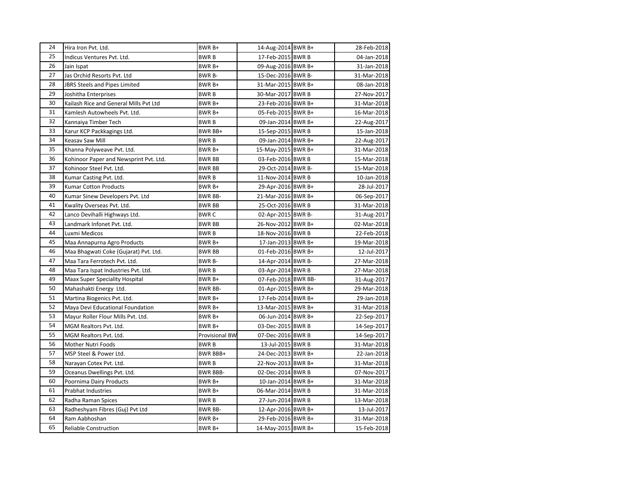| 24 | Hira Iron Pvt. Ltd.                    | BWR B+                | 14-Aug-2014 BWR B+  | 28-Feb-2018 |
|----|----------------------------------------|-----------------------|---------------------|-------------|
| 25 | Indicus Ventures Pvt. Ltd.             | BWR B                 | 17-Feb-2015 BWR B   | 04-Jan-2018 |
| 26 | Jain Ispat                             | BWR B+                | 09-Aug-2016 BWR B+  | 31-Jan-2018 |
| 27 | Jas Orchid Resorts Pyt. Ltd            | BWR B-                | 15-Dec-2016 BWR B-  | 31-Mar-2018 |
| 28 | JBRS Steels and Pipes Limited          | BWR B+                | 31-Mar-2015 BWR B+  | 08-Jan-2018 |
| 29 | Joshitha Enterprises                   | BWR B                 | 30-Mar-2017 BWR B   | 27-Nov-2017 |
| 30 | Kailash Rice and General Mills Pvt Ltd | BWR B+                | 23-Feb-2016 BWR B+  | 31-Mar-2018 |
| 31 | Kamlesh Autowheels Pvt. Ltd.           | BWR B+                | 05-Feb-2015 BWR B+  | 16-Mar-2018 |
| 32 | Kannaiya Timber Tech                   | BWR B                 | 09-Jan-2014 BWR B+  | 22-Aug-2017 |
| 33 | Karur KCP Packkagings Ltd.             | BWR BB+               | 15-Sep-2015 BWR B   | 15-Jan-2018 |
| 34 | Keasav Saw Mill                        | <b>BWRB</b>           | 09-Jan-2014 BWR B+  | 22-Aug-2017 |
| 35 | Khanna Polyweave Pvt. Ltd.             | BWR B+                | 15-May-2015 BWR B+  | 31-Mar-2018 |
| 36 | Kohinoor Paper and Newsprint Pvt. Ltd. | BWR BB                | 03-Feb-2016 BWR B   | 15-Mar-2018 |
| 37 | Kohinoor Steel Pvt. Ltd.               | BWR BB                | 29-Oct-2014 BWR B-  | 15-Mar-2018 |
| 38 | Kumar Casting Pvt. Ltd.                | BWR B                 | 11-Nov-2014 BWR B   | 10-Jan-2018 |
| 39 | <b>Kumar Cotton Products</b>           | BWR B+                | 29-Apr-2016 BWR B+  | 28-Jul-2017 |
| 40 | Kumar Sinew Developers Pvt. Ltd        | <b>BWR BB-</b>        | 21-Mar-2016 BWR B+  | 06-Sep-2017 |
| 41 | Kwality Overseas Pvt. Ltd.             | <b>BWR BB</b>         | 25-Oct-2016 BWR B   | 31-Mar-2018 |
| 42 | Lanco Devihalli Highways Ltd.          | BWR C                 | 02-Apr-2015 BWR B-  | 31-Aug-2017 |
| 43 | Landmark Infonet Pvt. Ltd.             | BWR BB                | 26-Nov-2012 BWR B+  | 02-Mar-2018 |
| 44 | Luxmi Medicos                          | <b>BWRB</b>           | 18-Nov-2016 BWR B   | 22-Feb-2018 |
| 45 | Maa Annapurna Agro Products            | BWR B+                | 17-Jan-2013 BWR B+  | 19-Mar-2018 |
| 46 | Maa Bhagwati Coke (Gujarat) Pvt. Ltd.  | BWR BB                | 01-Feb-2016 BWR B+  | 12-Jul-2017 |
| 47 | Maa Tara Ferrotech Pvt. Ltd.           | BWR B-                | 14-Apr-2014 BWR B-  | 27-Mar-2018 |
| 48 | Maa Tara Ispat Industries Pvt. Ltd.    | <b>BWRB</b>           | 03-Apr-2014 BWR B   | 27-Mar-2018 |
| 49 | Maax Super Speciality Hospital         | BWR B+                | 07-Feb-2018 BWR BB- | 31-Aug-2017 |
| 50 | Mahashakti Energy Ltd.                 | BWR BB-               | 01-Apr-2015 BWR B+  | 29-Mar-2018 |
| 51 | Martina Biogenics Pvt. Ltd.            | BWR B+                | 17-Feb-2014 BWR B+  | 29-Jan-2018 |
| 52 | Maya Devi Educational Foundation       | BWR B+                | 13-Mar-2015 BWR B+  | 31-Mar-2018 |
| 53 | Mayur Roller Flour Mills Pvt. Ltd.     | BWR B+                | 06-Jun-2014 BWR B+  | 22-Sep-2017 |
| 54 | MGM Realtors Pvt. Ltd.                 | BWR B+                | 03-Dec-2015 BWR B   | 14-Sep-2017 |
| 55 | MGM Realtors Pvt. Ltd.                 | <b>Provisional BW</b> | 07-Dec-2016 BWR B   | 14-Sep-2017 |
| 56 | Mother Nutri Foods                     | BWR B                 | 13-Jul-2015 BWR B   | 31-Mar-2018 |
| 57 | MSP Steel & Power Ltd.                 | BWR BBB+              | 24-Dec-2013 BWR B+  | 22-Jan-2018 |
| 58 | Narayan Cotex Pvt. Ltd.                | <b>BWRB</b>           | 22-Nov-2013 BWR B+  | 31-Mar-2018 |
| 59 | Oceanus Dwellings Pvt. Ltd.            | BWR BBB-              | 02-Dec-2014 BWR B   | 07-Nov-2017 |
| 60 | Poornima Dairy Products                | BWR B+                | 10-Jan-2014 BWR B+  | 31-Mar-2018 |
| 61 | Prabhat Industries                     | BWR B+                | 06-Mar-2014 BWR B   | 31-Mar-2018 |
| 62 | Radha Raman Spices                     | BWR B                 | 27-Jun-2014 BWR B   | 13-Mar-2018 |
| 63 | Radheshyam Fibres (Guj) Pvt Ltd        | <b>BWR BB-</b>        | 12-Apr-2016 BWR B+  | 13-Jul-2017 |
| 64 | Ram Aabhoshan                          | BWR B+                | 29-Feb-2016 BWR B+  | 31-Mar-2018 |
| 65 | <b>Reliable Construction</b>           | BWR B+                | 14-May-2015 BWR B+  | 15-Feb-2018 |